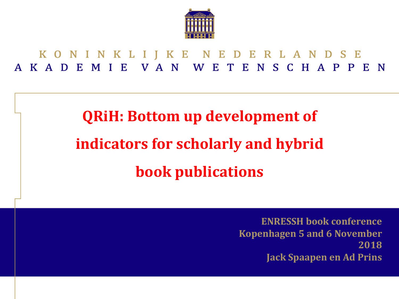

KONINKLIJKE NEDERLANDSE KADEMIE VAN WETENSCHAPPEN

# **QRiH: Bottom up development of indicators for scholarly and hybrid book** publications

**ENRESSH** book conference **Kopenhagen 5 and 6 November 2018 Jack Spaapen en Ad Prins**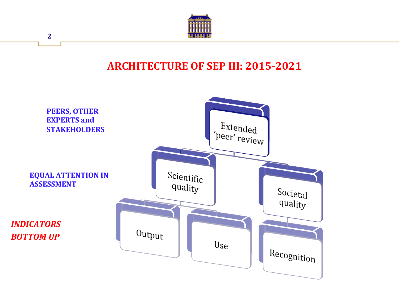

#### **ARCHITECTURE OF SEP III: 2015-2021**

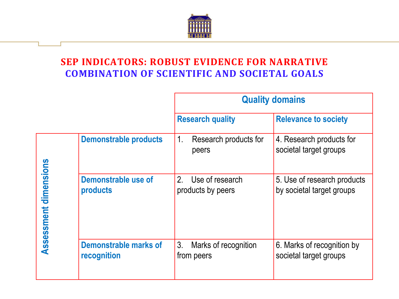

#### **SEP INDICATORS: ROBUST EVIDENCE FOR NARRATIVE COMBINATION OF SCIENTIFIC AND SOCIETAL GOALS**

|                       |                                      | <b>Quality domains</b>                                 |                                                          |  |
|-----------------------|--------------------------------------|--------------------------------------------------------|----------------------------------------------------------|--|
|                       |                                      | <b>Research quality</b>                                | <b>Relevance to society</b>                              |  |
| Assessment dimensions | <b>Demonstrable products</b>         | 1 <sub>1</sub><br>Research products for<br>peers       | 4. Research products for<br>societal target groups       |  |
|                       | Demonstrable use of<br>products      | 2 <sub>1</sub><br>Use of research<br>products by peers | 5. Use of research products<br>by societal target groups |  |
|                       | Demonstrable marks of<br>recognition | 3 <sub>1</sub><br>Marks of recognition<br>from peers   | 6. Marks of recognition by<br>societal target groups     |  |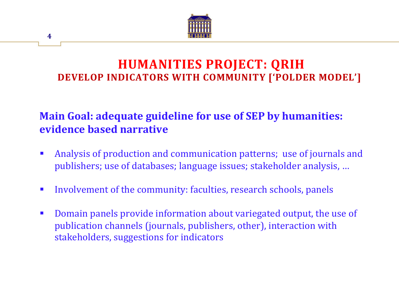

#### **HUMANITIES PROJECT: QRIH DEVELOP INDICATORS WITH COMMUNITY ['POLDER MODEL']**

#### **Main Goal: adequate guideline for use of SEP by humanities: evidence based narrative**

- Analysis of production and communication patterns; use of journals and publishers; use of databases; language issues; stakeholder analysis, ...
- Involvement of the community: faculties, research schools, panels
- Domain panels provide information about variegated output, the use of publication channels (journals, publishers, other), interaction with stakeholders, suggestions for indicators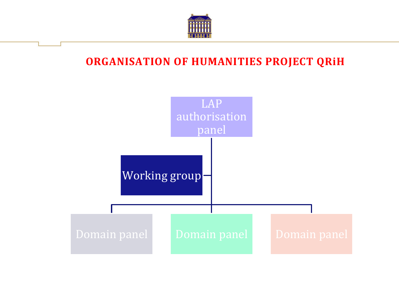

#### **ORGANISATION OF HUMANITIES PROJECT QRIH**

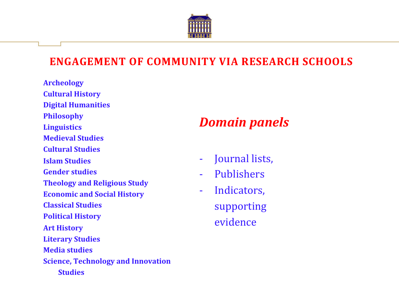

#### **ENGAGEMENT OF COMMUNITY VIA RESEARCH SCHOOLS**

**Archeology Cultural History Digital Humanities Philosophy Linguistics Medieval Studies Cultural Studies Islam Studies Gender studies Theology and Religious Study Economic and Social History Classical Studies Political History Art History Literary Studies Media studies Science, Technology and Innovation Studies**

# *Domain panels*

- Journal lists,
- Publishers
- Indicators, supporting evidence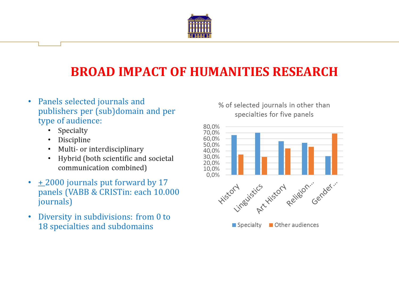

# **BROAD IMPACT OF HUMANITIES RESEARCH**

- Panels selected journals and  $\bullet$ publishers per (sub)domain and per type of audience:
	- Specialty  $\bullet$
	- Discipline
	- Multi- or interdisciplinary  $\bullet$
	- Hybrid (both scientific and societal  $\bullet$ communication combined)
- $\cdot$  + 2000 journals put forward by 17 panels (VABB & CRISTin: each 10.000 journals)
- Diversity in subdivisions: from 0 to  $\bullet$ 18 specialties and subdomains

#### % of selected journals in other than specialties for five panels

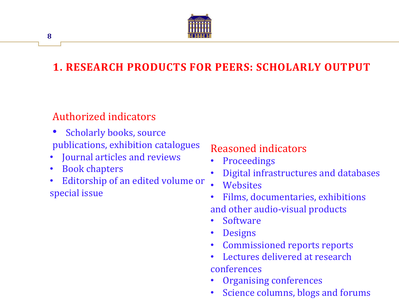

# **1. RESEARCH PRODUCTS FOR PEERS: SCHOLARLY OUTPUT**

#### Authorized indicators

- Scholarly books, source publications, exhibition catalogues
- Journal articles and reviews
- Book chapters

**8** 

• Editorship of an edited volume or special issue

#### Reasoned indicators

- **Proceedings**
- Digital infrastructures and databases
- **Websites**
- Films, documentaries, exhibitions and other audio-visual products
- **Software**
- **Designs**
- Commissioned reports reports
- Lectures delivered at research conferences
- Organising conferences
- Science columns, blogs and forums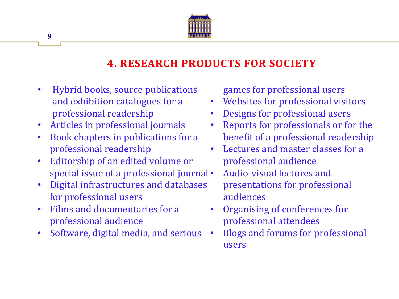

#### **4. RESEARCH PRODUCTS FOR SOCIETY**

- Hybrid books, source publications and exhibition catalogues for a professional readership
- Articles in professional journals
- Book chapters in publications for a professional readership
- Editorship of an edited volume or special issue of a professional journal •
- **Digital infrastructures and databases** for professional users
- **Films and documentaries for a** professional audience
- Software, digital media, and serious

games for professional users

- Websites for professional visitors
- Designs for professional users
- Reports for professionals or for the benefit of a professional readership
- Lectures and master classes for a professional audience
	- Audio-visual lectures and presentations for professional audiences
- Organising of conferences for professional attendees
- Blogs and forums for professional users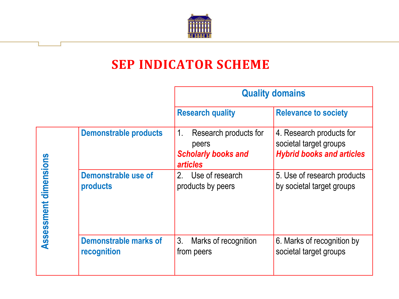

# **SEP INDICATOR SCHEME**

|                       |                                             | <b>Quality domains</b>                                                                         |                                                                                        |  |
|-----------------------|---------------------------------------------|------------------------------------------------------------------------------------------------|----------------------------------------------------------------------------------------|--|
|                       |                                             | <b>Research quality</b>                                                                        | <b>Relevance to society</b>                                                            |  |
| Assessment dimensions | <b>Demonstrable products</b>                | $1_{\cdot}$<br>Research products for<br>peers<br><b>Scholarly books and</b><br><b>articles</b> | 4. Research products for<br>societal target groups<br><b>Hybrid books and articles</b> |  |
|                       | <b>Demonstrable use of</b><br>products      | 2. Use of research<br>products by peers                                                        | 5. Use of research products<br>by societal target groups                               |  |
|                       | <b>Demonstrable marks of</b><br>recognition | 3 <sub>1</sub><br>Marks of recognition<br>from peers                                           | 6. Marks of recognition by<br>societal target groups                                   |  |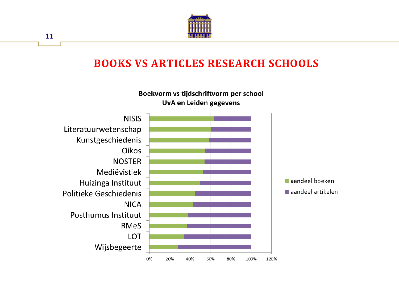

#### **BOOKS VS ARTICLES RESEARCH SCHOOLS**

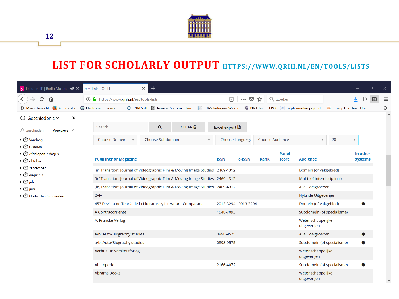

**12** 

## LIST FOR SCHOLARLY OUTPUT **HTTPS://WWW.QRIH.NL/EN/TOOLS/LISTS**

| L Ecouter FIP   Radio Musicale (1) X                                  | $\bm{+}$<br><b>QRIH</b> Lists - QRIH<br>$\times$                                                                                                                                                             |                                                        |                                                         | $\Box$<br>$\times$  |
|-----------------------------------------------------------------------|--------------------------------------------------------------------------------------------------------------------------------------------------------------------------------------------------------------|--------------------------------------------------------|---------------------------------------------------------|---------------------|
| G<br>仚<br>$\leftarrow$<br><b>D</b> Meest bezocht <b>D</b> Aan de slag | <b>① △</b> https://www.qrih.nl/en/tools/lists<br>C Electroneum koers, inf C ENRESSH [3] Jennifer Stern wordsm   EUA's Refugees Welco D PIVX Team   PIVX [99] Cryptomunten prijsind   C Cheap Car Hire - Holi | 目<br>$\cdots$ $\heartsuit$                             | Q Zoeken<br>☆                                           | Ξ<br>»              |
| $\odot$ Geschiedenis $\sim$<br>×                                      |                                                                                                                                                                                                              |                                                        |                                                         |                     |
| O Geschiedeni<br>Weergeven Y                                          | Q<br>Search                                                                                                                                                                                                  | <b>CLEAR</b> 俞<br>Excel export $\mathbb{\overline{X}}$ |                                                         |                     |
| <b>S</b> Vandaag                                                      | - Choose Subdomain -<br>- Choose Domein -                                                                                                                                                                    | - Choose Language                                      | - Choose Audience -<br>$\boldsymbol{\mathrm{v}}$        | 20                  |
| > © Gisteren<br>> © Afgelopen 7 dagen<br>> © oktober                  | <b>Publisher or Magazine</b>                                                                                                                                                                                 | <b>ISSN</b><br>e-ISSN                                  | <b>Panel</b><br><b>Audience</b><br><b>Rank</b><br>score | In other<br>systems |
| September                                                             | [in]Transition: Journal of Videographic Film & Moving Image Studies 2469-4312                                                                                                                                |                                                        | Domein (of vakgebied)                                   |                     |
| <b>S</b> augustus<br>$\sum$ Juli                                      | [in]Transition: Journal of Videographic Film & Moving Image Studies 2469-4312                                                                                                                                |                                                        | Multi- of interdisciplinair                             |                     |
| > (D juni                                                             | [in]Transition: Journal of Videographic Film & Moving Image Studies 2469-4312                                                                                                                                |                                                        | Alle Doelgroepen                                        |                     |
| <b>9</b> Ouder dan 6 maanden                                          | 2VM                                                                                                                                                                                                          |                                                        | Hybride Uitgeverijen                                    |                     |
|                                                                       | 453 Revista de Teoría de la Literatura y Literatura Comparada                                                                                                                                                | 2013-3294 2013-3294                                    | Domein (of vakgebied)                                   |                     |
|                                                                       | A Contracorriente                                                                                                                                                                                            | 1548-7093                                              | Subdomein (of specialisme)                              |                     |
|                                                                       | A. Francke Verlag                                                                                                                                                                                            |                                                        | Wetenschappelijke<br>uitgeverijen                       |                     |
|                                                                       | a/b: Auto/Biography studies                                                                                                                                                                                  | 0898-9575                                              | Alle Doelgroepen                                        |                     |
|                                                                       | a/b: Auto/Biography studies                                                                                                                                                                                  | 0898-9575                                              | Subdomein (of specialisme)                              |                     |
|                                                                       | Aarhus Universitetsforlag                                                                                                                                                                                    |                                                        | Wetenschappelijke<br>uitgeverijen                       |                     |
|                                                                       | Ab Imperio                                                                                                                                                                                                   | 2166-4072                                              | Subdomein (of specialisme)                              | $\blacksquare$      |
|                                                                       | <b>Abrams Books</b>                                                                                                                                                                                          |                                                        | Wetenschappelijke<br>uitgeverijen                       |                     |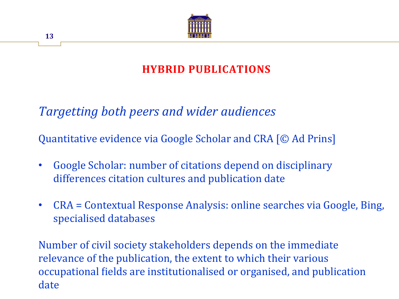

# **HYBRID PUBLICATIONS**

*Targetting both peers and wider audiences*

Quantitative evidence via Google Scholar and CRA [© Ad Prins]

- Google Scholar: number of citations depend on disciplinary differences citation cultures and publication date
- CRA = Contextual Response Analysis: online searches via Google, Bing, specialised databases

Number of civil society stakeholders depends on the immediate relevance of the publication, the extent to which their various occupational fields are institutionalised or organised, and publication date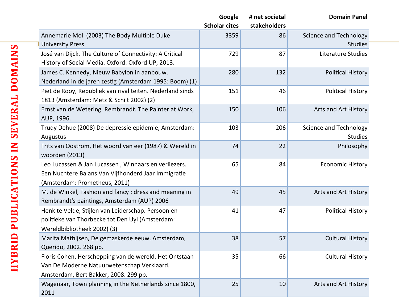|                                                                      | Google               | # net societal | <b>Domain Panel</b>           |
|----------------------------------------------------------------------|----------------------|----------------|-------------------------------|
|                                                                      | <b>Scholar cites</b> | stakeholders   |                               |
| Annemarie Mol (2003) The Body Multiple Duke                          | 3359                 | 86             | Science and Technology        |
| <b>University Press</b>                                              |                      |                | <b>Studies</b>                |
| José van Dijck. The Culture of Connectivity: A Critical              | 729                  | 87             | Literature Studies            |
| History of Social Media. Oxford: Oxford UP, 2013.                    |                      |                |                               |
| James C. Kennedy, Nieuw Babylon in aanbouw.                          | 280                  | 132            | <b>Political History</b>      |
| Nederland in de jaren zestig (Amsterdam 1995: Boom) (1)              |                      |                |                               |
| Piet de Rooy, Republiek van rivaliteiten. Nederland sinds            | 151                  | 46             | <b>Political History</b>      |
| 1813 (Amsterdam: Metz & Schilt 2002) (2)                             |                      |                |                               |
| Ernst van de Wetering. Rembrandt. The Painter at Work,<br>AUP, 1996. | 150                  | 106            | Arts and Art History          |
| Trudy Dehue (2008) De depressie epidemie, Amsterdam:                 | 103                  | 206            | <b>Science and Technology</b> |
| Augustus                                                             |                      |                | <b>Studies</b>                |
| Frits van Oostrom, Het woord van eer (1987) & Wereld in              | 74                   | 22             | Philosophy                    |
| woorden (2013)                                                       |                      |                |                               |
| Leo Lucassen & Jan Lucassen, Winnaars en verliezers.                 | 65                   | 84             | <b>Economic History</b>       |
| Een Nuchtere Balans Van Vijfhonderd Jaar Immigratie                  |                      |                |                               |
| (Amsterdam: Prometheus, 2011)                                        |                      |                |                               |
| M. de Winkel, Fashion and fancy : dress and meaning in               | 49                   | 45             | Arts and Art History          |
| Rembrandt's paintings, Amsterdam (AUP) 2006                          |                      |                |                               |
| Henk te Velde, Stijlen van Leiderschap. Persoon en                   | 41                   | 47             | <b>Political History</b>      |
| politieke van Thorbecke tot Den Uyl (Amsterdam:                      |                      |                |                               |
| Wereldbibliotheek 2002) (3)                                          |                      |                |                               |
| Marita Mathijsen, De gemaskerde eeuw. Amsterdam,                     | 38                   | 57             | <b>Cultural History</b>       |
| Querido, 2002. 268 pp.                                               |                      |                |                               |
| Floris Cohen, Herschepping van de wereld. Het Ontstaan               | 35                   | 66             | <b>Cultural History</b>       |
| Van De Moderne Natuurwetenschap Verklaard.                           |                      |                |                               |
| Amsterdam, Bert Bakker, 2008. 299 pp.                                |                      |                |                               |
| Wagenaar, Town planning in the Netherlands since 1800,               | 25                   | 10             | Arts and Art History          |
| 2011                                                                 |                      |                |                               |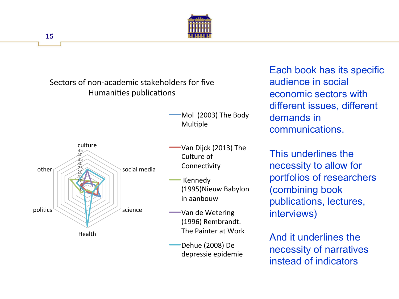

Sectors of non-academic stakeholders for five Humanities publications

> Mol (2003) The Body Multiple



-Van Dijck (2013) The Culture of Connectivity

 Kennedy (1995)Nieuw Babylon in aanbouw 

**WARED** Van de Wetering (1996) Rembrandt. The Painter at Work

Dehue (2008) De depressie epidemie  Each book has its specific audience in social economic sectors with different issues, different demands in communications.

This underlines the necessity to allow for portfolios of researchers (combining book publications, lectures, interviews)

And it underlines the necessity of narratives instead of indicators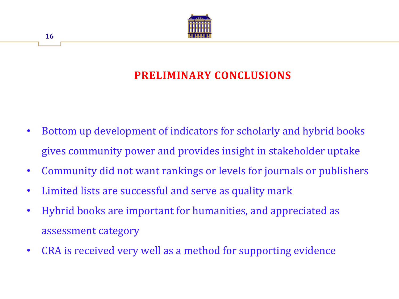

# **PRELIMINARY CONCLUSIONS**

- Bottom up development of indicators for scholarly and hybrid books gives community power and provides insight in stakeholder uptake
- Community did not want rankings or levels for journals or publishers
- Limited lists are successful and serve as quality mark
- Hybrid books are important for humanities, and appreciated as assessment category
- CRA is received very well as a method for supporting evidence